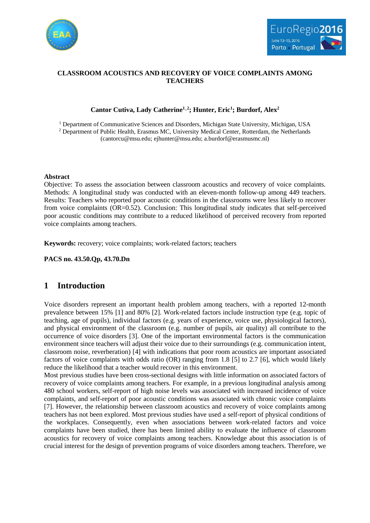



## **CLASSROOM ACOUSTICS AND RECOVERY OF VOICE COMPLAINTS AMONG TEACHERS**

## **Cantor Cutiva, Lady Catherine1\_2; Hunter, Eric<sup>1</sup> ; Burdorf, Alex<sup>2</sup>**

<sup>1</sup> Department of Communicative Sciences and Disorders, Michigan State University, Michigan, USA <sup>2</sup> Department of Public Health, Erasmus MC, University Medical Center, Rotterdam, the Netherlands (cantorcu@msu.edu; [ejhunter@msu.edu;](mailto:ejhunter@msu.edu) a.burdorf@erasmusmc.nl)

### **Abstract**

Objective: To assess the association between classroom acoustics and recovery of voice complaints. Methods: A longitudinal study was conducted with an eleven-month follow-up among 449 teachers. Results: Teachers who reported poor acoustic conditions in the classrooms were less likely to recover from voice complaints (OR=0.52). Conclusion: This longitudinal study indicates that self-perceived poor acoustic conditions may contribute to a reduced likelihood of perceived recovery from reported voice complaints among teachers.

**Keywords:** recovery; voice complaints; work-related factors; teachers

**PACS no. 43.50.Qp, 43.70.Dn**

# **1 Introduction**

Voice disorders represent an important health problem among teachers, with a reported 12-month prevalence between 15% [\[1\]](#page-4-0) and 80% [\[2\]](#page-4-1). Work-related factors include instruction type (e.g. topic of teaching, age of pupils), individual factors (e.g. years of experience, voice use, physiological factors), and physical environment of the classroom (e.g. number of pupils, air quality) all contribute to the occurrence of voice disorders [\[3\]](#page-4-2). One of the important environmental factors is the communication environment since teachers will adjust their voice due to their surroundings (e.g. communication intent, classroom noise, reverberation) [\[4\]](#page-4-3) with indications that poor room acoustics are important associated factors of voice complaints with odds ratio (OR) ranging from 1.8 [\[5\]](#page-4-4) to 2.7 [\[6\]](#page-4-5), which would likely reduce the likelihood that a teacher would recover in this environment.

Most previous studies have been cross-sectional designs with little information on associated factors of recovery of voice complaints among teachers. For example, in a previous longitudinal analysis among 480 school workers, self-report of high noise levels was associated with increased incidence of voice complaints, and self-report of poor acoustic conditions was associated with chronic voice complaints [\[7\]](#page-4-6). However, the relationship between classroom acoustics and recovery of voice complaints among teachers has not been explored. Most previous studies have used a self-report of physical conditions of the workplaces. Consequently, even when associations between work-related factors and voice complaints have been studied, there has been limited ability to evaluate the influence of classroom acoustics for recovery of voice complaints among teachers. Knowledge about this association is of crucial interest for the design of prevention programs of voice disorders among teachers. Therefore, we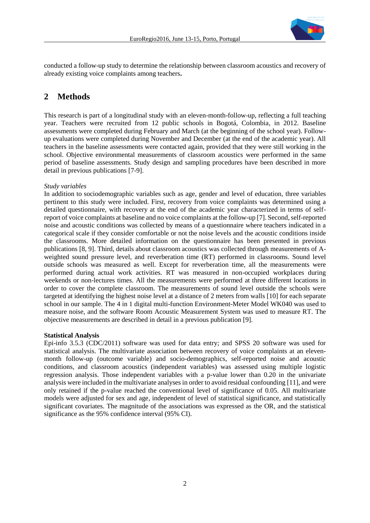

conducted a follow-up study to determine the relationship between classroom acoustics and recovery of already existing voice complaints among teachers**.**

# **2 Methods**

This research is part of a longitudinal study with an eleven-month-follow-up, reflecting a full teaching year. Teachers were recruited from 12 public schools in Bogotá, Colombia, in 2012. Baseline assessments were completed during February and March (at the beginning of the school year). Followup evaluations were completed during November and December (at the end of the academic year). All teachers in the baseline assessments were contacted again, provided that they were still working in the school. Objective environmental measurements of classroom acoustics were performed in the same period of baseline assessments. Study design and sampling procedures have been described in more detail in previous publications [\[7-9\]](#page-4-6).

## *Study variables*

In addition to sociodemographic variables such as age, gender and level of education, three variables pertinent to this study were included. First, recovery from voice complaints was determined using a detailed questionnaire, with recovery at the end of the academic year characterized in terms of selfreport of voice complaints at baseline and no voice complaints at the follow-up [\[7\]](#page-4-6). Second, self-reported noise and acoustic conditions was collected by means of a questionnaire where teachers indicated in a categorical scale if they consider comfortable or not the noise levels and the acoustic conditions inside the classrooms. More detailed information on the questionnaire has been presented in previous publications [\[8,](#page-4-7) [9\]](#page-5-0). Third, details about classroom acoustics was collected through measurements of Aweighted sound pressure level, and reverberation time (RT) performed in classrooms. Sound level outside schools was measured as well. Except for reverberation time, all the measurements were performed during actual work activities. RT was measured in non-occupied workplaces during weekends or non-lectures times. All the measurements were performed at three different locations in order to cover the complete classroom. The measurements of sound level outside the schools were targeted at identifying the highest noise level at a distance of 2 meters from walls [\[10\]](#page-5-1) for each separate school in our sample. The 4 in 1 digital multi-function Environment-Meter Model WK040 was used to measure noise, and the software Room Acoustic Measurement System was used to measure RT. The objective measurements are described in detail in a previous publication [\[9\]](#page-5-0).

## **Statistical Analysis**

Epi-info 3.5.3 (CDC/2011) software was used for data entry; and SPSS 20 software was used for statistical analysis. The multivariate association between recovery of voice complaints at an elevenmonth follow-up (outcome variable) and socio-demographics, self-reported noise and acoustic conditions, and classroom acoustics (independent variables) was assessed using multiple logistic regression analysis. Those independent variables with a p-value lower than 0.20 in the univariate analysis were included in the multivariate analyses in order to avoid residual confounding [\[11\]](#page-5-2), and were only retained if the p-value reached the conventional level of significance of 0.05. All multivariate models were adjusted for sex and age, independent of level of statistical significance, and statistically significant covariates. The magnitude of the associations was expressed as the OR, and the statistical significance as the 95% confidence interval (95% CI).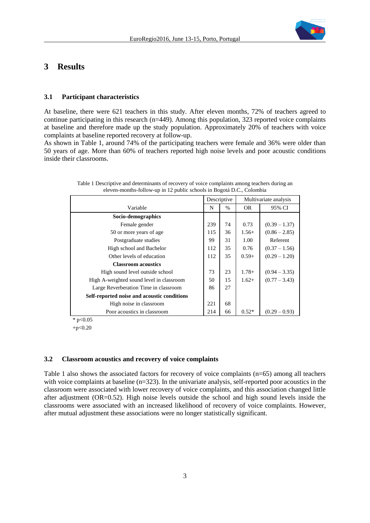

## **3 Results**

### **3.1 Participant characteristics**

At baseline, there were 621 teachers in this study. After eleven months, 72% of teachers agreed to continue participating in this research (n=449). Among this population, 323 reported voice complaints at baseline and therefore made up the study population. Approximately 20% of teachers with voice complaints at baseline reported recovery at follow-up.

As shown in Table 1, around 74% of the participating teachers were female and 36% were older than 50 years of age. More than 60% of teachers reported high noise levels and poor acoustic conditions inside their classrooms.

|                                             | Descriptive |      | Multivariate analysis |                 |
|---------------------------------------------|-------------|------|-----------------------|-----------------|
| Variable                                    | N           | $\%$ | <b>OR</b>             | 95% CI          |
| Socio-demographics                          |             |      |                       |                 |
| Female gender                               | 239         | 74   | 0.73                  | $(0.39 - 1.37)$ |
| 50 or more years of age                     | 115         | 36   | $1.56+$               | $(0.86 - 2.85)$ |
| Postgraduate studies                        | 99          | 31   | 1.00                  | Referent        |
| High school and Bachelor                    | 112         | 35   | 0.76                  | $(0.37 - 1.56)$ |
| Other levels of education                   | 112         | 35   | $0.59+$               | $(0.29 - 1.20)$ |
| <b>Classroom acoustics</b>                  |             |      |                       |                 |
| High sound level outside school             | 73          | 23   | $1.78+$               | $(0.94 - 3.35)$ |
| High A-weighted sound level in classroom    | 50          | 15   | $1.62+$               | $(0.77 - 3.43)$ |
| Large Reverberation Time in classroom       | 86          | 27   |                       |                 |
| Self-reported noise and acoustic conditions |             |      |                       |                 |
| High noise in classroom                     | 221         | 68   |                       |                 |
| Poor acoustics in classroom                 | 214         | 66   | $0.52*$               | $(0.29 - 0.93)$ |

Table 1 Descriptive and determinants of recovery of voice complaints among teachers during an eleven-months-follow-up in 12 public schools in Bogotá D.C., Colombia

\*  $p<0.05$ 

 $+p<0.20$ 

#### **3.2 Classroom acoustics and recovery of voice complaints**

Table 1 also shows the associated factors for recovery of voice complaints (n=65) among all teachers with voice complaints at baseline (n=323). In the univariate analysis, self-reported poor acoustics in the classroom were associated with lower recovery of voice complaints, and this association changed little after adjustment (OR=0.52). High noise levels outside the school and high sound levels inside the classrooms were associated with an increased likelihood of recovery of voice complaints. However, after mutual adjustment these associations were no longer statistically significant.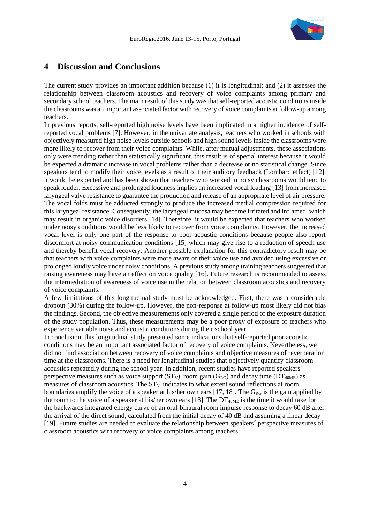

# **4 Discussion and Conclusions**

The current study provides an important addition because (1) it is longitudinal; and (2) it assesses the relationship between classroom acoustics and recovery of voice complaints among primary and secondary school teachers. The main result of this study was that self-reported acoustic conditions inside the classrooms was an important associated factor with recovery of voice complaints at follow-up among teachers.

In previous reports, self-reported high noise levels have been implicated in a higher incidence of selfreported vocal problems [\[7\]](#page-4-6). However, in the univariate analysis, teachers who worked in schools with objectively measured high noise levels outside schools and high sound levels inside the classrooms were more likely to recover from their voice complaints. While, after mutual adjustments, these associations only were trending rather than statistically significant, this result is of special interest because it would be expected a dramatic increase in vocal problems rather than a decrease or no statistical change. Since speakers tend to modify their voice levels as a result of their auditory feedback (Lombard effect) [\[12\]](#page-5-3), it would be expected and has been shown that teachers who worked in noisy classrooms would tend to speak louder. Excessive and prolonged loudness implies an increased vocal loading [\[13\]](#page-5-4) from increased laryngeal valve resistance to guarantee the production and release of an appropriate level of air pressure. The vocal folds must be adducted strongly to produce the increased medial compression required for this laryngeal resistance. Consequently, the laryngeal mucosa may become irritated and inflamed, which may result in organic voice disorders [\[14\]](#page-5-5). Therefore, it would be expected that teachers who worked under noisy conditions would be less likely to recover from voice complaints. However, the increased vocal level is only one part of the response to poor acoustic conditions because people also report discomfort at noisy communication conditions [\[15\]](#page-5-6) which may give rise to a reduction of speech use and thereby benefit vocal recovery. Another possible explanation for this contradictory result may be that teachers with voice complaints were more aware of their voice use and avoided using excessive or prolonged loudly voice under noisy conditions. A previous study among training teachers suggested that raising awareness may have an effect on voice quality [\[16\]](#page-5-7). Future research is recommended to assess the intermediation of awareness of voice use in the relation between classroom acoustics and recovery of voice complaints.

A few limitations of this longitudinal study must be acknowledged. First, there was a considerable dropout (30%) during the follow-up. However, the non-response at follow-up most likely did not bias the findings. Second, the objective measurements only covered a single period of the exposure duration of the study population. Thus, these measurements may be a poor proxy of exposure of teachers who experience variable noise and acoustic conditions during their school year.

In conclusion, this longitudinal study presented some indications that self-reported poor acoustic conditions may be an important associated factor of recovery of voice complaints. Nevertheless, we did not find association between recovery of voice complaints and objective measures of reverberation time at the classrooms. There is a need for longitudinal studies that objectively quantify classroom acoustics repeatedly during the school year. In addition, recent studies have reported speakers´ perspective measures such as voice support  $(ST_V)$ , room gain  $(G_{RG})$  and decay time  $(DT_{40ME})$  as measures of classroom acoustics. The  $ST_v$  indicates to what extent sound reflections at room boundaries amplify the voice of a speaker at his/her own ears [\[17,](#page-5-8) [18\]](#page-5-9). The  $G_{RG}$  is the gain applied by the room to the voice of a speaker at his/her own ears [\[18\]](#page-5-9). The  $DT_{40ME}$  is the time it would take for the backwards integrated energy curve of an oral-binaural room impulse response to decay 60 dB after the arrival of the direct sound, calculated from the initial decay of 40 dB and assuming a linear decay [\[19\]](#page-5-10). Future studies are needed to evaluate the relationship between speakers´ perspective measures of classroom acoustics with recovery of voice complaints among teachers.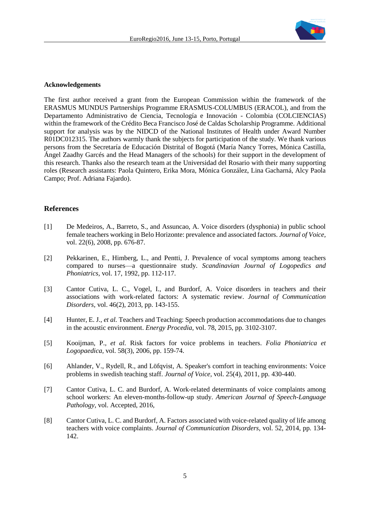

#### **Acknowledgements**

The first author received a grant from the European Commission within the framework of the ERASMUS MUNDUS Partnerships Programme ERASMUS-COLUMBUS (ERACOL), and from the Departamento Administrativo de Ciencia, Tecnología e Innovación - Colombia (COLCIENCIAS) within the framework of the Crédito Beca Francisco José de Caldas Scholarship Programme. Additional support for analysis was by the NIDCD of the National Institutes of Health under Award Number R01DC012315. The authors warmly thank the subjects for participation of the study. We thank various persons from the Secretaría de Educación Distrital of Bogotá (María Nancy Torres, Mónica Castilla, Ángel Zaadhy Garcés and the Head Managers of the schools) for their support in the development of this research. Thanks also the research team at the Universidad del Rosario with their many supporting roles (Research assistants: Paola Quintero, Erika Mora, Mónica González, Lina Gacharná, Alcy Paola Campo; Prof. Adriana Fajardo).

#### **References**

- <span id="page-4-0"></span>[1] De Medeiros, A., Barreto, S., and Assuncao, A. Voice disorders (dysphonia) in public school female teachers working in Belo Horizonte: prevalence and associated factors. *Journal of Voice,*  vol. 22(6), 2008, pp. 676-87.
- <span id="page-4-1"></span>[2] Pekkarinen, E., Himberg, L., and Pentti, J. Prevalence of vocal symptoms among teachers compared to nurses—a questionnaire study. *Scandinavian Journal of Logopedics and Phoniatrics,* vol. 17, 1992, pp. 112-117.
- <span id="page-4-2"></span>[3] Cantor Cutiva, L. C., Vogel, I., and Burdorf, A. Voice disorders in teachers and their associations with work-related factors: A systematic review. *Journal of Communication Disorders,* vol. 46(2), 2013, pp. 143-155.
- <span id="page-4-3"></span>[4] Hunter, E. J.*, et al.* Teachers and Teaching: Speech production accommodations due to changes in the acoustic environment. *Energy Procedia,* vol. 78, 2015, pp. 3102-3107.
- <span id="page-4-4"></span>[5] Kooijman, P.*, et al.* Risk factors for voice problems in teachers. *Folia Phoniatrica et Logopaedica,* vol. 58(3), 2006, pp. 159-74.
- <span id="page-4-5"></span>[6] Ahlander, V., Rydell, R., and Löfqvist, A. Speaker's comfort in teaching environments: Voice problems in swedish teaching staff. *Journal of Voice,* vol. 25(4), 2011, pp. 430-440.
- <span id="page-4-6"></span>[7] Cantor Cutiva, L. C. and Burdorf, A. Work-related determinants of voice complaints among school workers: An eleven-months-follow-up study. *American Journal of Speech-Language Pathology,* vol. Accepted, 2016,
- <span id="page-4-7"></span>[8] Cantor Cutiva, L. C. and Burdorf, A. Factors associated with voice-related quality of life among teachers with voice complaints. *Journal of Communication Disorders,* vol. 52, 2014, pp. 134- 142.